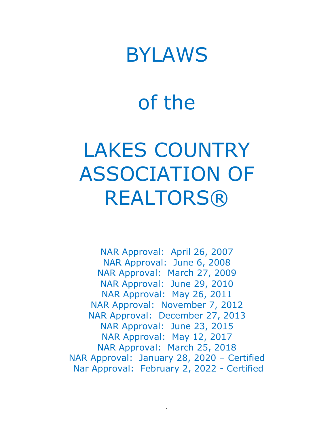## BYLAWS

# of the

# LAKES COUNTRY ASSOCIATION OF **REALTORS®**

NAR Approval: April 26, 2007 NAR Approval: June 6, 2008 NAR Approval: March 27, 2009 NAR Approval: June 29, 2010 NAR Approval: May 26, 2011 NAR Approval: November 7, 2012 NAR Approval: December 27, 2013 NAR Approval: June 23, 2015 NAR Approval: May 12, 2017 NAR Approval: March 25, 2018 NAR Approval: January 28, 2020 – Certified Nar Approval: February 2, 2022 - Certified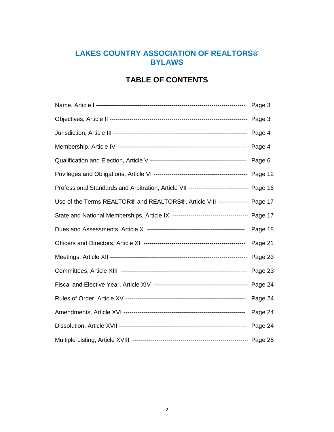## **LAKES COUNTRY ASSOCIATION OF REALTORS® BYLAWS**

## **TABLE OF CONTENTS**

|                                                                                          | Page 3  |
|------------------------------------------------------------------------------------------|---------|
|                                                                                          | Page 3  |
|                                                                                          | Page 4  |
|                                                                                          | Page 4  |
|                                                                                          | Page 6  |
|                                                                                          | Page 12 |
| Professional Standards and Arbitration, Article VII ---------------------------- Page 16 |         |
| Use of the Terms REALTOR® and REALTORS®, Article VIII ---------------                    | Page 17 |
|                                                                                          | Page 17 |
|                                                                                          | Page 18 |
|                                                                                          | Page 21 |
|                                                                                          | Page 23 |
|                                                                                          | Page 23 |
|                                                                                          | Page 24 |
|                                                                                          | Page 24 |
|                                                                                          | Page 24 |
|                                                                                          | Page 24 |
|                                                                                          |         |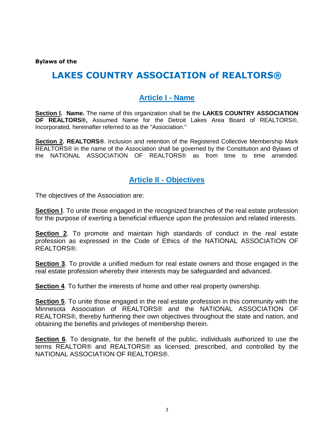**Bylaws of the** 

## **LAKES COUNTRY ASSOCIATION of REALTORS®**

## **Article I - Name**

**Section l. Name.** The name of this organization shall be the **LAKES COUNTRY ASSOCIATION OF REALTORS®,** Assumed Name for the Detroit Lakes Area Board of REALTORS®, Incorporated, hereinafter referred to as the "Association."

**Section 2. REALTORS®**. Inclusion and retention of the Registered Collective Membership Mark REALTORS® in the name of the Association shall be governed by the Constitution and Bylaws of the NATIONAL ASSOCIATION OF REALTORS® as from time to time amended.

### **Article II - Objectives**

The objectives of the Association are:

**Section l**. To unite those engaged in the recognized branches of the real estate profession for the purpose of exerting a beneficial influence upon the profession and related interests.

**Section 2**. To promote and maintain high standards of conduct in the real estate profession as expressed in the Code of Ethics of the NATIONAL ASSOCIATION OF REALTORS®.

**Section 3**. To provide a unified medium for real estate owners and those engaged in the real estate profession whereby their interests may be safeguarded and advanced.

**Section 4**. To further the interests of home and other real property ownership.

**Section 5**. To unite those engaged in the real estate profession in this community with the Minnesota Association of REALTORS® and the NATIONAL ASSOCIATION OF REALTORS®, thereby furthering their own objectives throughout the state and nation, and obtaining the benefits and privileges of membership therein.

**Section 6**. To designate, for the benefit of the public, individuals authorized to use the terms REALTOR® and REALTORS® as licensed, prescribed, and controlled by the NATIONAL ASSOCIATION OF REALTORS®.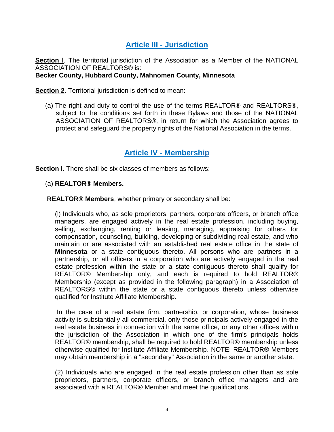## **Article III - Jurisdiction**

**Section l**. The territorial jurisdiction of the Association as a Member of the NATIONAL ASSOCIATION OF REALTORS® is:

#### **Becker County, Hubbard County, Mahnomen County, Minnesota**

**Section 2.** Territorial jurisdiction is defined to mean:

(a) The right and duty to control the use of the terms REALTOR® and REALTORS®, subject to the conditions set forth in these Bylaws and those of the NATIONAL ASSOCIATION OF REALTORS®, in return for which the Association agrees to protect and safeguard the property rights of the National Association in the terms.

## **Article IV - Membership**

**Section l**. There shall be six classes of members as follows:

- (a) **REALTOR® Members.**
- **REALTOR® Members**, whether primary or secondary shall be:

(l) Individuals who, as sole proprietors, partners, corporate officers, or branch office managers, are engaged actively in the real estate profession, including buying, selling, exchanging, renting or leasing, managing, appraising for others for compensation, counseling, building, developing or subdividing real estate, and who maintain or are associated with an established real estate office in the state of **Minnesota** or a state contiguous thereto. All persons who are partners in a partnership, or all officers in a corporation who are actively engaged in the real estate profession within the state or a state contiguous thereto shall qualify for REALTOR® Membership only, and each is required to hold REALTOR® Membership (except as provided in the following paragraph) in a Association of REALTORS® within the state or a state contiguous thereto unless otherwise qualified for Institute Affiliate Membership.

In the case of a real estate firm, partnership, or corporation, whose business activity is substantially all commercial, only those principals actively engaged in the real estate business in connection with the same office, or any other offices within the jurisdiction of the Association in which one of the firm's principals holds REALTOR® membership, shall be required to hold REALTOR® membership unless otherwise qualified for Institute Affiliate Membership. NOTE: REALTOR® Members may obtain membership in a "secondary" Association in the same or another state.

(2) Individuals who are engaged in the real estate profession other than as sole proprietors, partners, corporate officers, or branch office managers and are associated with a REALTOR® Member and meet the qualifications.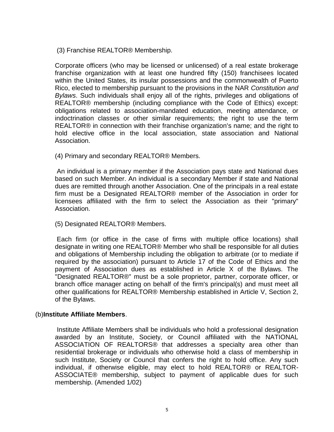(3) Franchise REALTOR® Membership.

Corporate officers (who may be licensed or unlicensed) of a real estate brokerage franchise organization with at least one hundred fifty (150) franchisees located within the United States, its insular possessions and the commonwealth of Puerto Rico, elected to membership pursuant to the provisions in the NAR *Constitution and Bylaws*. Such individuals shall enjoy all of the rights, privileges and obligations of REALTOR® membership (including compliance with the Code of Ethics) except: obligations related to association-mandated education, meeting attendance, or indoctrination classes or other similar requirements; the right to use the term REALTOR® in connection with their franchise organization's name; and the right to hold elective office in the local association, state association and National Association.

(4) Primary and secondary REALTOR® Members.

An individual is a primary member if the Association pays state and National dues based on such Member. An individual is a secondary Member if state and National dues are remitted through another Association. One of the principals in a real estate firm must be a Designated REALTOR® member of the Association in order for licensees affiliated with the firm to select the Association as their "primary" Association.

(5) Designated REALTOR® Members.

Each firm (or office in the case of firms with multiple office locations) shall designate in writing one REALTOR® Member who shall be responsible for all duties and obligations of Membership including the obligation to arbitrate (or to mediate if required by the association) pursuant to Article 17 of the Code of Ethics and the payment of Association dues as established in Article X of the Bylaws. The "Designated REALTOR®" must be a sole proprietor, partner, corporate officer, or branch office manager acting on behalf of the firm's principal(s) and must meet all other qualifications for REALTOR® Membership established in Article V, Section 2, of the Bylaws.

#### (b)**Institute Affiliate Members**.

Institute Affiliate Members shall be individuals who hold a professional designation awarded by an Institute, Society, or Council affiliated with the NATIONAL ASSOCIATION OF REALTORS® that addresses a specialty area other than residential brokerage or individuals who otherwise hold a class of membership in such Institute, Society or Council that confers the right to hold office. Any such individual, if otherwise eligible, may elect to hold REALTOR® or REALTOR-ASSOCIATE® membership, subject to payment of applicable dues for such membership. (Amended 1/02)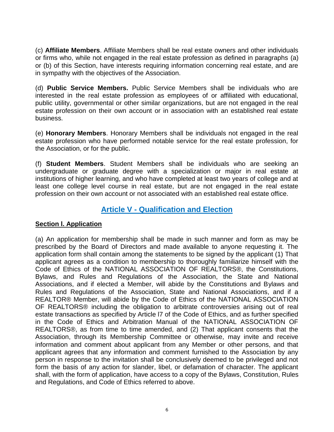(c) **Affiliate Members**. Affiliate Members shall be real estate owners and other individuals or firms who, while not engaged in the real estate profession as defined in paragraphs (a) or (b) of this Section, have interests requiring information concerning real estate, and are in sympathy with the objectives of the Association.

(d) **Public Service Members.** Public Service Members shall be individuals who are interested in the real estate profession as employees of or affiliated with educational, public utility, governmental or other similar organizations, but are not engaged in the real estate profession on their own account or in association with an established real estate business.

(e) **Honorary Members**. Honorary Members shall be individuals not engaged in the real estate profession who have performed notable service for the real estate profession, for the Association, or for the public.

(f) **Student Members**. Student Members shall be individuals who are seeking an undergraduate or graduate degree with a specialization or major in real estate at institutions of higher learning, and who have completed at least two years of college and at least one college level course in real estate, but are not engaged in the real estate profession on their own account or not associated with an established real estate office.

## **Article V - Qualification and Election**

#### **Section l. Application**

(a) An application for membership shall be made in such manner and form as may be prescribed by the Board of Directors and made available to anyone requesting it. The application form shall contain among the statements to be signed by the applicant (1) That applicant agrees as a condition to membership to thoroughly familiarize himself with the Code of Ethics of the NATIONAL ASSOCIATION OF REALTORS®, the Constitutions, Bylaws, and Rules and Regulations of the Association, the State and National Associations, and if elected a Member, will abide by the Constitutions and Bylaws and Rules and Regulations of the Association, State and National Associations, and if a REALTOR® Member, will abide by the Code of Ethics of the NATIONAL ASSOCIATION OF REALTORS® including the obligation to arbitrate controversies arising out of real estate transactions as specified by Article l7 of the Code of Ethics, and as further specified in the Code of Ethics and Arbitration Manual of the NATIONAL ASSOCIATION OF REALTORS®, as from time to time amended, and (2) That applicant consents that the Association, through its Membership Committee or otherwise, may invite and receive information and comment about applicant from any Member or other persons, and that applicant agrees that any information and comment furnished to the Association by any person in response to the invitation shall be conclusively deemed to be privileged and not form the basis of any action for slander, libel, or defamation of character. The applicant shall, with the form of application, have access to a copy of the Bylaws, Constitution, Rules and Regulations, and Code of Ethics referred to above.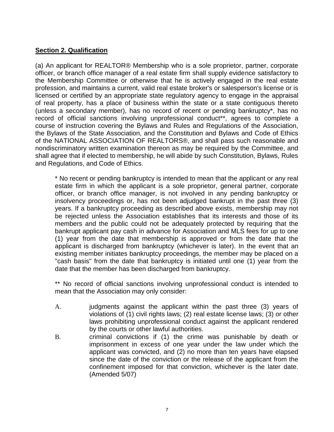#### **Section 2. Qualification**

(a) An applicant for REALTOR® Membership who is a sole proprietor, partner, corporate officer, or branch office manager of a real estate firm shall supply evidence satisfactory to the Membership Committee or otherwise that he is actively engaged in the real estate profession, and maintains a current, valid real estate broker's or salesperson's license or is licensed or certified by an appropriate state regulatory agency to engage in the appraisal of real property, has a place of business within the state or a state contiguous thereto (unless a secondary member), has no record of recent or pending bankruptcy\*, has no record of official sanctions involving unprofessional conduct<sup>\*\*</sup>, agrees to complete a course of instruction covering the Bylaws and Rules and Regulations of the Association, the Bylaws of the State Association, and the Constitution and Bylaws and Code of Ethics of the NATIONAL ASSOCIATION OF REALTORS®, and shall pass such reasonable and nondiscriminatory written examination thereon as may be required by the Committee, and shall agree that if elected to membership, he will abide by such Constitution, Bylaws, Rules and Regulations, and Code of Ethics.

\* No recent or pending bankruptcy is intended to mean that the applicant or any real estate firm in which the applicant is a sole proprietor, general partner, corporate officer, or branch office manager, is not involved in any pending bankruptcy or insolvency proceedings or, has not been adjudged bankrupt in the past three (3) years. If a bankruptcy proceeding as described above exists, membership may not be rejected unless the Association establishes that its interests and those of its members and the public could not be adequately protected by requiring that the bankrupt applicant pay cash in advance for Association and MLS fees for up to one (1) year from the date that membership is approved or from the date that the applicant is discharged from bankruptcy (whichever is later). In the event that an existing member initiates bankruptcy proceedings, the member may be placed on a "cash basis" from the date that bankruptcy is initiated until one (1) year from the date that the member has been discharged from bankruptcy.

\*\* No record of official sanctions involving unprofessional conduct is intended to mean that the Association may only consider:

- A. judgments against the applicant within the past three (3) years of violations of (1) civil rights laws; (2) real estate license laws; (3) or other laws prohibiting unprofessional conduct against the applicant rendered by the courts or other lawful authorities.
- B. criminal convictions if (1) the crime was punishable by death or imprisonment in excess of one year under the law under which the applicant was convicted, and (2) no more than ten years have elapsed since the date of the conviction or the release of the applicant from the confinement imposed for that conviction, whichever is the later date. (Amended 5/07)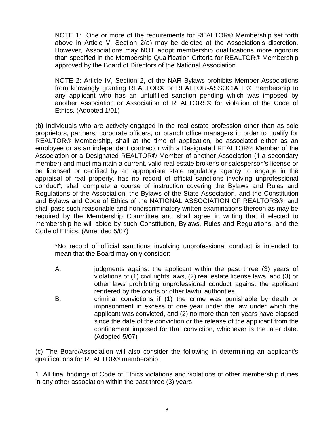NOTE 1: One or more of the requirements for REALTOR® Membership set forth above in Article V, Section 2(a) may be deleted at the Association's discretion. However, Associations may NOT adopt membership qualifications more rigorous than specified in the Membership Qualification Criteria for REALTOR® Membership approved by the Board of Directors of the National Association.

NOTE 2: Article IV, Section 2, of the NAR Bylaws prohibits Member Associations from knowingly granting REALTOR® or REALTOR-ASSOCIATE® membership to any applicant who has an unfulfilled sanction pending which was imposed by another Association or Association of REALTORS® for violation of the Code of Ethics. (Adopted 1/01)

(b) Individuals who are actively engaged in the real estate profession other than as sole proprietors, partners, corporate officers, or branch office managers in order to qualify for REALTOR® Membership, shall at the time of application, be associated either as an employee or as an independent contractor with a Designated REALTOR® Member of the Association or a Designated REALTOR® Member of another Association (if a secondary member) and must maintain a current, valid real estate broker's or salesperson's license or be licensed or certified by an appropriate state regulatory agency to engage in the appraisal of real property, has no record of official sanctions involving unprofessional conduct\*, shall complete a course of instruction covering the Bylaws and Rules and Regulations of the Association, the Bylaws of the State Association, and the Constitution and Bylaws and Code of Ethics of the NATIONAL ASSOCIATION OF REALTORS®, and shall pass such reasonable and nondiscriminatory written examinations thereon as may be required by the Membership Committee and shall agree in writing that if elected to membership he will abide by such Constitution, Bylaws, Rules and Regulations, and the Code of Ethics. (Amended 5/07)

\*No record of official sanctions involving unprofessional conduct is intended to mean that the Board may only consider:

- A. judgments against the applicant within the past three (3) years of violations of (1) civil rights laws, (2) real estate license laws, and (3) or other laws prohibiting unprofessional conduct against the applicant rendered by the courts or other lawful authorities.
- B. criminal convictions if (1) the crime was punishable by death or imprisonment in excess of one year under the law under which the applicant was convicted, and (2) no more than ten years have elapsed since the date of the conviction or the release of the applicant from the confinement imposed for that conviction, whichever is the later date. (Adopted 5/07)

(c) The Board/Association will also consider the following in determining an applicant's qualifications for REALTOR® membership:

1. All final findings of Code of Ethics violations and violations of other membership duties in any other association within the past three (3) years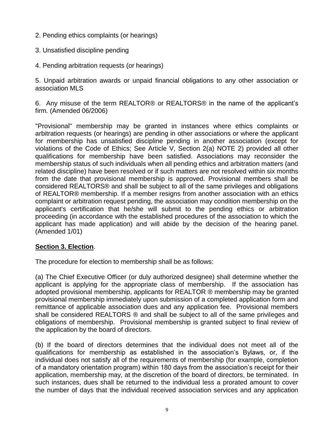- 2. Pending ethics complaints (or hearings)
- 3. Unsatisfied discipline pending
- 4. Pending arbitration requests (or hearings)

5. Unpaid arbitration awards or unpaid financial obligations to any other association or association MLS

6. Any misuse of the term REALTOR® or REALTORS® in the name of the applicant's firm. (Amended 06/2006)

"Provisional" membership may be granted in instances where ethics complaints or arbitration requests (or hearings) are pending in other associations or where the applicant for membership has unsatisfied discipline pending in another association (except for violations of the Code of Ethics; See Article V, Section 2(a) NOTE 2) provided all other qualifications for membership have been satisfied. Associations may reconsider the membership status of such individuals when all pending ethics and arbitration matters (and related discipline) have been resolved or if such matters are not resolved within six months from the date that provisional membership is approved. Provisional members shall be considered REALTORS® and shall be subject to all of the same privileges and obligations of REALTOR® membership. If a member resigns from another association with an ethics complaint or arbitration request pending, the association may condition membership on the applicant's certification that he/she will submit to the pending ethics or arbitration proceeding (in accordance with the established procedures of the association to which the applicant has made application) and will abide by the decision of the hearing panel. (Amended 1/01)

#### **Section 3. Election**.

The procedure for election to membership shall be as follows:

(a) The Chief Executive Officer (or duly authorized designee) shall determine whether the applicant is applying for the appropriate class of membership. If the association has adopted provisional membership, applicants for REALTOR ® membership may be granted provisional membership immediately upon submission of a completed application form and remittance of applicable association dues and any application fee. Provisional members shall be considered REALTORS ® and shall be subject to all of the same privileges and obligations of membership. Provisional membership is granted subject to final review of the application by the board of directors.

(b) If the board of directors determines that the individual does not meet all of the qualifications for membership as established in the association's Bylaws, or, if the individual does not satisfy all of the requirements of membership (for example, completion of a mandatory orientation program) within 180 days from the association's receipt for their application, membership may, at the discretion of the board of directors, be terminated. In such instances, dues shall be returned to the individual less a prorated amount to cover the number of days that the individual received association services and any application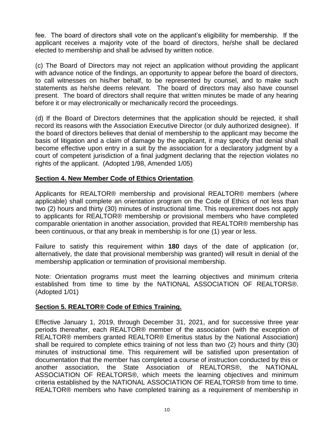fee. The board of directors shall vote on the applicant's eligibility for membership. If the applicant receives a majority vote of the board of directors, he/she shall be declared elected to membership and shall be advised by written notice.

(c) The Board of Directors may not reject an application without providing the applicant with advance notice of the findings, an opportunity to appear before the board of directors, to call witnesses on his/her behalf, to be represented by counsel, and to make such statements as he/she deems relevant. The board of directors may also have counsel present. The board of directors shall require that written minutes be made of any hearing before it or may electronically or mechanically record the proceedings.

(d) If the Board of Directors determines that the application should be rejected, it shall record its reasons with the Association Executive Director (or duly authorized designee). If the board of directors believes that denial of membership to the applicant may become the basis of litigation and a claim of damage by the applicant, it may specify that denial shall become effective upon entry in a suit by the association for a declaratory judgment by a court of competent jurisdiction of a final judgment declaring that the rejection violates no rights of the applicant. (Adopted 1/98, Amended 1/05)

#### **Section 4. New Member Code of Ethics Orientation**.

Applicants for REALTOR® membership and provisional REALTOR® members (where applicable) shall complete an orientation program on the Code of Ethics of not less than two (2) hours and thirty (30) minutes of instructional time. This requirement does not apply to applicants for REALTOR® membership or provisional members who have completed comparable orientation in another association, provided that REALTOR® membership has been continuous, or that any break in membership is for one (1) year or less.

Failure to satisfy this requirement within **180** days of the date of application (or, alternatively, the date that provisional membership was granted) will result in denial of the membership application or termination of provisional membership.

Note: Orientation programs must meet the learning objectives and minimum criteria established from time to time by the NATIONAL ASSOCIATION OF REALTORS®. (Adopted 1/01)

#### **Section 5. REALTOR® Code of Ethics Training.**

Effective January 1, 2019, through December 31, 2021, and for successive three year periods thereafter, each REALTOR® member of the association (with the exception of REALTOR® members granted REALTOR® Emeritus status by the National Association) shall be required to complete ethics training of not less than two (2) hours and thirty (30) minutes of instructional time. This requirement will be satisfied upon presentation of documentation that the member has completed a course of instruction conducted by this or another association, the State Association of REALTORS®, the NATIONAL ASSOCIATION OF REALTORS®, which meets the learning objectives and minimum criteria established by the NATIONAL ASSOCIATION OF REALTORS® from time to time. REALTOR® members who have completed training as a requirement of membership in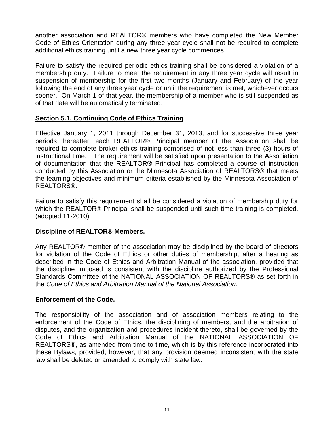another association and REALTOR® members who have completed the New Member Code of Ethics Orientation during any three year cycle shall not be required to complete additional ethics training until a new three year cycle commences.

Failure to satisfy the required periodic ethics training shall be considered a violation of a membership duty. Failure to meet the requirement in any three year cycle will result in suspension of membership for the first two months (January and February) of the year following the end of any three year cycle or until the requirement is met, whichever occurs sooner. On March 1 of that year, the membership of a member who is still suspended as of that date will be automatically terminated.

#### **Section 5.1. Continuing Code of Ethics Training**

Effective January 1, 2011 through December 31, 2013, and for successive three year periods thereafter, each REALTOR® Principal member of the Association shall be required to complete broker ethics training comprised of not less than three (3) hours of instructional time. The requirement will be satisfied upon presentation to the Association of documentation that the REALTOR® Principal has completed a course of instruction conducted by this Association or the Minnesota Association of REALTORS® that meets the learning objectives and minimum criteria established by the Minnesota Association of REALTORS®.

Failure to satisfy this requirement shall be considered a violation of membership duty for which the REALTOR® Principal shall be suspended until such time training is completed. (adopted 11-2010)

#### **Discipline of REALTOR® Members.**

Any REALTOR® member of the association may be disciplined by the board of directors for violation of the Code of Ethics or other duties of membership, after a hearing as described in the Code of Ethics and Arbitration Manual of the association, provided that the discipline imposed is consistent with the discipline authorized by the Professional Standards Committee of the NATIONAL ASSOCIATION OF REALTORS® as set forth in the *Code of Ethics and Arbitration Manual of the National Association*.

#### **Enforcement of the Code.**

The responsibility of the association and of association members relating to the enforcement of the Code of Ethics, the disciplining of members, and the arbitration of disputes, and the organization and procedures incident thereto, shall be governed by the Code of Ethics and Arbitration Manual of the NATIONAL ASSOCIATION OF REALTORS®, as amended from time to time, which is by this reference incorporated into these Bylaws, provided, however, that any provision deemed inconsistent with the state law shall be deleted or amended to comply with state law.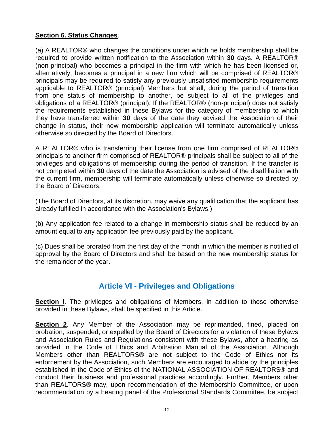#### **Section 6. Status Changes**.

(a) A REALTOR® who changes the conditions under which he holds membership shall be required to provide written notification to the Association within **30** days. A REALTOR® (non-principal) who becomes a principal in the firm with which he has been licensed or, alternatively, becomes a principal in a new firm which will be comprised of REALTOR® principals may be required to satisfy any previously unsatisfied membership requirements applicable to REALTOR® (principal) Members but shall, during the period of transition from one status of membership to another, be subject to all of the privileges and obligations of a REALTOR® (principal). If the REALTOR® (non-principal) does not satisfy the requirements established in these Bylaws for the category of membership to which they have transferred within **30** days of the date they advised the Association of their change in status, their new membership application will terminate automatically unless otherwise so directed by the Board of Directors.

A REALTOR® who is transferring their license from one firm comprised of REALTOR® principals to another firm comprised of REALTOR® principals shall be subject to all of the privileges and obligations of membership during the period of transition. If the transfer is not completed within **30** days of the date the Association is advised of the disaffiliation with the current firm, membership will terminate automatically unless otherwise so directed by the Board of Directors.

(The Board of Directors, at its discretion, may waive any qualification that the applicant has already fulfilled in accordance with the Association's Bylaws.)

(b) Any application fee related to a change in membership status shall be reduced by an amount equal to any application fee previously paid by the applicant.

(c) Dues shall be prorated from the first day of the month in which the member is notified of approval by the Board of Directors and shall be based on the new membership status for the remainder of the year.

## **Article VI - Privileges and Obligations**

**Section l**. The privileges and obligations of Members, in addition to those otherwise provided in these Bylaws, shall be specified in this Article.

**Section 2**. Any Member of the Association may be reprimanded, fined, placed on probation, suspended, or expelled by the Board of Directors for a violation of these Bylaws and Association Rules and Regulations consistent with these Bylaws, after a hearing as provided in the Code of Ethics and Arbitration Manual of the Association. Although Members other than REALTORS® are not subject to the Code of Ethics nor its enforcement by the Association, such Members are encouraged to abide by the principles established in the Code of Ethics of the NATIONAL ASSOCIATION OF REALTORS® and conduct their business and professional practices accordingly. Further, Members other than REALTORS® may, upon recommendation of the Membership Committee, or upon recommendation by a hearing panel of the Professional Standards Committee, be subject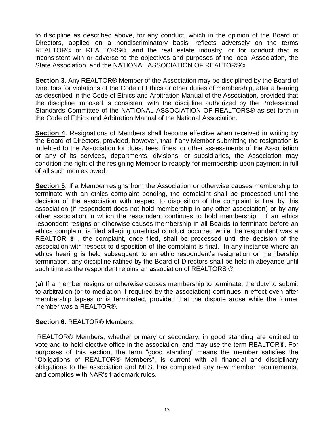to discipline as described above, for any conduct, which in the opinion of the Board of Directors, applied on a nondiscriminatory basis, reflects adversely on the terms REALTOR® or REALTORS®, and the real estate industry, or for conduct that is inconsistent with or adverse to the objectives and purposes of the local Association, the State Association, and the NATIONAL ASSOCIATION OF REALTORS®.

**Section 3**. Any REALTOR® Member of the Association may be disciplined by the Board of Directors for violations of the Code of Ethics or other duties of membership, after a hearing as described in the Code of Ethics and Arbitration Manual of the Association, provided that the discipline imposed is consistent with the discipline authorized by the Professional Standards Committee of the NATIONAL ASSOCIATION OF REALTORS® as set forth in the Code of Ethics and Arbitration Manual of the National Association.

**Section 4**. Resignations of Members shall become effective when received in writing by the Board of Directors, provided, however, that if any Member submitting the resignation is indebted to the Association for dues, fees, fines, or other assessments of the Association or any of its services, departments, divisions, or subsidiaries, the Association may condition the right of the resigning Member to reapply for membership upon payment in full of all such monies owed.

**Section 5.** If a Member resigns from the Association or otherwise causes membership to terminate with an ethics complaint pending, the complaint shall be processed until the decision of the association with respect to disposition of the complaint is final by this association (if respondent does not hold membership in any other association) or by any other association in which the respondent continues to hold membership. If an ethics respondent resigns or otherwise causes membership in all Boards to terminate before an ethics complaint is filed alleging unethical conduct occurred while the respondent was a REALTOR  $\odot$ , the complaint, once filed, shall be processed until the decision of the association with respect to disposition of the complaint is final. In any instance where an ethics hearing is held subsequent to an ethic respondent's resignation or membership termination, any discipline ratified by the Board of Directors shall be held in abeyance until such time as the respondent rejoins an association of REALTORS ®.

(a) If a member resigns or otherwise causes membership to terminate, the duty to submit to arbitration (or to mediation if required by the association) continues in effect even after membership lapses or is terminated, provided that the dispute arose while the former member was a REALTOR®.

**Section 6**. REALTOR® Members.

REALTOR® Members, whether primary or secondary, in good standing are entitled to vote and to hold elective office in the association, and may use the term REALTOR®. For purposes of this section, the term "good standing" means the member satisfies the "Obligations of REALTOR® Members", is current with all financial and disciplinary obligations to the association and MLS, has completed any new member requirements, and complies with NAR's trademark rules.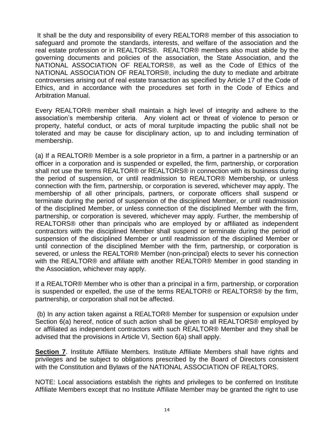It shall be the duty and responsibility of every REALTOR® member of this association to safeguard and promote the standards, interests, and welfare of the association and the real estate profession or in REALTORS®. REALTOR® members also must abide by the governing documents and policies of the association, the State Association, and the NATIONAL ASSOCIATION OF REALTORS®, as well as the Code of Ethics of the NATIONAL ASSOCIATION OF REALTORS®, including the duty to mediate and arbitrate controversies arising out of real estate transaction as specified by Article 17 of the Code of Ethics, and in accordance with the procedures set forth in the Code of Ethics and Arbitration Manual.

Every REALTOR® member shall maintain a high level of integrity and adhere to the association's membership criteria. Any violent act or threat of violence to person or property, hateful conduct, or acts of moral turpitude impacting the public shall not be tolerated and may be cause for disciplinary action, up to and including termination of membership.

(a) If a REALTOR® Member is a sole proprietor in a firm, a partner in a partnership or an officer in a corporation and is suspended or expelled, the firm, partnership, or corporation shall not use the terms REALTOR® or REALTORS® in connection with its business during the period of suspension, or until readmission to REALTOR® Membership, or unless connection with the firm, partnership, or corporation is severed, whichever may apply. The membership of all other principals, partners, or corporate officers shall suspend or terminate during the period of suspension of the disciplined Member, or until readmission of the disciplined Member, or unless connection of the disciplined Member with the firm, partnership, or corporation is severed, whichever may apply. Further, the membership of REALTORS® other than principals who are employed by or affiliated as independent contractors with the disciplined Member shall suspend or terminate during the period of suspension of the disciplined Member or until readmission of the disciplined Member or until connection of the disciplined Member with the firm, partnership, or corporation is severed, or unless the REALTOR® Member (non-principal) elects to sever his connection with the REALTOR® and affiliate with another REALTOR® Member in good standing in the Association, whichever may apply.

If a REALTOR® Member who is other than a principal in a firm, partnership, or corporation is suspended or expelled, the use of the terms REALTOR® or REALTORS® by the firm, partnership, or corporation shall not be affected.

(b) In any action taken against a REALTOR® Member for suspension or expulsion under Section 6(a) hereof, notice of such action shall be given to all REALTORS® employed by or affiliated as independent contractors with such REALTOR® Member and they shall be advised that the provisions in Article VI, Section 6(a) shall apply.

**Section 7.** Institute Affiliate Members. Institute Affiliate Members shall have rights and privileges and be subject to obligations prescribed by the Board of Directors consistent with the Constitution and Bylaws of the NATIONAL ASSOCIATION OF REALTORS.

NOTE: Local associations establish the rights and privileges to be conferred on Institute Affiliate Members except that no Institute Affiliate Member may be granted the right to use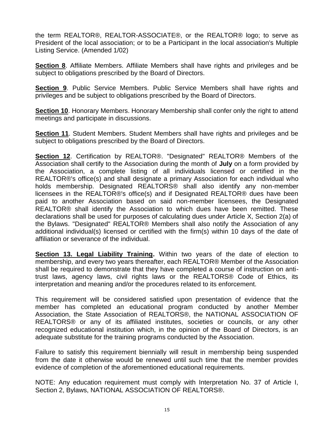the term REALTOR®, REALTOR-ASSOCIATE®, or the REALTOR® logo; to serve as President of the local association; or to be a Participant in the local association's Multiple Listing Service. (Amended 1/02)

**Section 8**. Affiliate Members. Affiliate Members shall have rights and privileges and be subject to obligations prescribed by the Board of Directors.

**Section 9**. Public Service Members. Public Service Members shall have rights and privileges and be subject to obligations prescribed by the Board of Directors.

**Section 10**. Honorary Members. Honorary Membership shall confer only the right to attend meetings and participate in discussions.

**Section 11**. Student Members. Student Members shall have rights and privileges and be subject to obligations prescribed by the Board of Directors.

**Section 12**. Certification by REALTOR®. "Designated" REALTOR® Members of the Association shall certify to the Association during the month of **July** on a form provided by the Association, a complete listing of all individuals licensed or certified in the REALTOR®'s office(s) and shall designate a primary Association for each individual who holds membership. Designated REALTORS® shall also identify any non-member licensees in the REALTOR®'s office(s) and if Designated REALTOR® dues have been paid to another Association based on said non-member licensees, the Designated REALTOR® shall identify the Association to which dues have been remitted. These declarations shall be used for purposes of calculating dues under Article X, Section 2(a) of the Bylaws. "Designated" REALTOR® Members shall also notify the Association of any additional individual(s) licensed or certified with the firm(s) within 10 days of the date of affiliation or severance of the individual.

**Section 13. Legal Liability Training.** Within two years of the date of election to membership, and every two years thereafter, each REALTOR® Member of the Association shall be required to demonstrate that they have completed a course of instruction on antitrust laws, agency laws, civil rights laws or the REALTORS® Code of Ethics, its interpretation and meaning and/or the procedures related to its enforcement.

This requirement will be considered satisfied upon presentation of evidence that the member has completed an educational program conducted by another Member Association, the State Association of REALTORS®, the NATIONAL ASSOCIATION OF REALTORS® or any of its affiliated institutes, societies or councils, or any other recognized educational institution which, in the opinion of the Board of Directors, is an adequate substitute for the training programs conducted by the Association.

Failure to satisfy this requirement biennially will result in membership being suspended from the date it otherwise would be renewed until such time that the member provides evidence of completion of the aforementioned educational requirements.

NOTE: Any education requirement must comply with Interpretation No. 37 of Article I, Section 2, Bylaws, NATIONAL ASSOCIATION OF REALTORS®.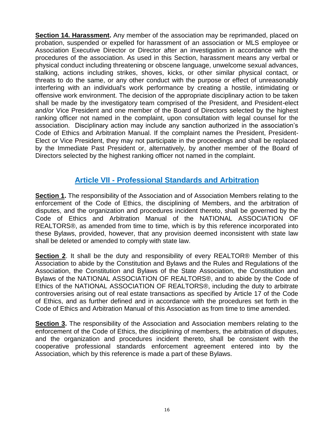**Section 14. Harassment.** Any member of the association may be reprimanded, placed on probation, suspended or expelled for harassment of an association or MLS employee or Association Executive Director or Director after an investigation in accordance with the procedures of the association. As used in this Section, harassment means any verbal or physical conduct including threatening or obscene language, unwelcome sexual advances, stalking, actions including strikes, shoves, kicks, or other similar physical contact, or threats to do the same, or any other conduct with the purpose or effect of unreasonably interfering with an individual's work performance by creating a hostile, intimidating or offensive work environment. The decision of the appropriate disciplinary action to be taken shall be made by the investigatory team comprised of the President, and President-elect and/or Vice President and one member of the Board of Directors selected by the highest ranking officer not named in the complaint, upon consultation with legal counsel for the association. Disciplinary action may include any sanction authorized in the association's Code of Ethics and Arbitration Manual. If the complaint names the President, President-Elect or Vice President, they may not participate in the proceedings and shall be replaced by the Immediate Past President or, alternatively, by another member of the Board of Directors selected by the highest ranking officer not named in the complaint.

## **Article VII - Professional Standards and Arbitration**

**Section 1.** The responsibility of the Association and of Association Members relating to the enforcement of the Code of Ethics, the disciplining of Members, and the arbitration of disputes, and the organization and procedures incident thereto, shall be governed by the Code of Ethics and Arbitration Manual of the NATIONAL ASSOCIATION OF REALTORS®, as amended from time to time, which is by this reference incorporated into these Bylaws, provided, however, that any provision deemed inconsistent with state law shall be deleted or amended to comply with state law.

**Section 2**. It shall be the duty and responsibility of every REALTOR® Member of this Association to abide by the Constitution and Bylaws and the Rules and Regulations of the Association, the Constitution and Bylaws of the State Association, the Constitution and Bylaws of the NATIONAL ASSOCIATION OF REALTORS®, and to abide by the Code of Ethics of the NATIONAL ASSOCIATION OF REALTORS®, including the duty to arbitrate controversies arising out of real estate transactions as specified by Article 17 of the Code of Ethics, and as further defined and in accordance with the procedures set forth in the Code of Ethics and Arbitration Manual of this Association as from time to time amended.

**Section 3.** The responsibility of the Association and Association members relating to the enforcement of the Code of Ethics, the disciplining of members, the arbitration of disputes, and the organization and procedures incident thereto, shall be consistent with the cooperative professional standards enforcement agreement entered into by the Association, which by this reference is made a part of these Bylaws.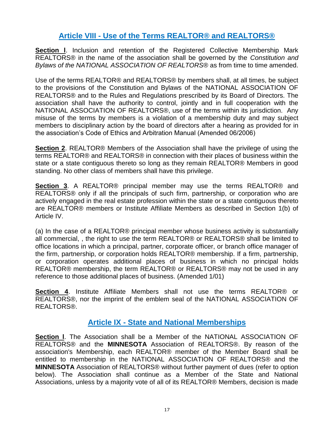## **Article VIII - Use of the Terms REALTOR® and REALTORS®**

**Section I.** Inclusion and retention of the Registered Collective Membership Mark REALTORS® in the name of the association shall be governed by the *Constitution and Bylaws of the NATIONAL ASSOCIATION OF REALTORS*® as from time to time amended.

Use of the terms REALTOR® and REALTORS® by members shall, at all times, be subject to the provisions of the Constitution and Bylaws of the NATIONAL ASSOCIATION OF REALTORS® and to the Rules and Regulations prescribed by its Board of Directors. The association shall have the authority to control, jointly and in full cooperation with the NATIONAL ASSOCIATION OF REALTORS®, use of the terms within its jurisdiction. Any misuse of the terms by members is a violation of a membership duty and may subject members to disciplinary action by the board of directors after a hearing as provided for in the association's Code of Ethics and Arbitration Manual (Amended 06/2006)

**Section 2**. REALTOR® Members of the Association shall have the privilege of using the terms REALTOR® and REALTORS® in connection with their places of business within the state or a state contiguous thereto so long as they remain REALTOR® Members in good standing. No other class of members shall have this privilege.

**Section 3**. A REALTOR® principal member may use the terms REALTOR® and REALTORS<sup>®</sup> only if all the principals of such firm, partnership, or corporation who are actively engaged in the real estate profession within the state or a state contiguous thereto are REALTOR® members or Institute Affiliate Members as described in Section 1(b) of Article IV.

(a) In the case of a REALTOR® principal member whose business activity is substantially all commercial, , the right to use the term REALTOR® or REALTORS® shall be limited to office locations in which a principal, partner, corporate officer, or branch office manager of the firm, partnership, or corporation holds REALTOR® membership. If a firm, partnership, or corporation operates additional places of business in which no principal holds REALTOR® membership, the term REALTOR® or REALTORS® may not be used in any reference to those additional places of business. (Amended 1/01)

**Section 4**. Institute Affiliate Members shall not use the terms REALTOR® or REALTORS®, nor the imprint of the emblem seal of the NATIONAL ASSOCIATION OF REALTORS®.

### **Article IX - State and National Memberships**

**Section l**. The Association shall be a Member of the NATIONAL ASSOCIATION OF REALTORS® and the **MINNESOTA** Association of REALTORS®. By reason of the association's Membership, each REALTOR® member of the Member Board shall be entitled to membership in the NATIONAL ASSOCIATION OF REALTORS® and the **MINNESOTA** Association of REALTORS® without further payment of dues (refer to option below). The Association shall continue as a Member of the State and National Associations, unless by a majority vote of all of its REALTOR® Members, decision is made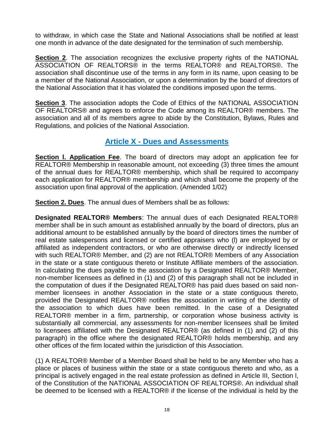to withdraw, in which case the State and National Associations shall be notified at least one month in advance of the date designated for the termination of such membership.

**Section 2**. The association recognizes the exclusive property rights of the NATIONAL ASSOCIATION OF REALTORS® in the terms REALTOR® and REALTORS®. The association shall discontinue use of the terms in any form in its name, upon ceasing to be a member of the National Association, or upon a determination by the board of directors of the National Association that it has violated the conditions imposed upon the terms.

**Section 3**. The association adopts the Code of Ethics of the NATIONAL ASSOCIATION OF REALTORS® and agrees to enforce the Code among its REALTOR® members. The association and all of its members agree to abide by the Constitution, Bylaws, Rules and Regulations, and policies of the National Association.

## **Article X - Dues and Assessments**

**Section l. Application Fee**. The board of directors may adopt an application fee for REALTOR® Membership in reasonable amount, not exceeding (3) three times the amount of the annual dues for REALTOR® membership, which shall be required to accompany each application for REALTOR® membership and which shall become the property of the association upon final approval of the application. (Amended 1/02)

**Section 2. Dues**. The annual dues of Members shall be as follows:

**Designated REALTOR® Members**: The annual dues of each Designated REALTOR® member shall be in such amount as established annually by the board of directors, plus an additional amount to be established annually by the board of directors times the number of real estate salespersons and licensed or certified appraisers who (l) are employed by or affiliated as independent contractors, or who are otherwise directly or indirectly licensed with such REALTOR® Member, and (2) are not REALTOR® Members of any Association in the state or a state contiguous thereto or Institute Affiliate members of the association. In calculating the dues payable to the association by a Designated REALTOR® Member, non-member licensees as defined in (1) and (2) of this paragraph shall not be included in the computation of dues if the Designated REALTOR® has paid dues based on said nonmember licensees in another Association in the state or a state contiguous thereto, provided the Designated REALTOR® notifies the association in writing of the identity of the association to which dues have been remitted. In the case of a Designated REALTOR® member in a firm, partnership, or corporation whose business activity is substantially all commercial, any assessments for non-member licensees shall be limited to licensees affiliated with the Designated REALTOR® (as defined in (1) and (2) of this paragraph) in the office where the designated REALTOR® holds membership, and any other offices of the firm located within the jurisdiction of this Association.

(1) A REALTOR® Member of a Member Board shall be held to be any Member who has a place or places of business within the state or a state contiguous thereto and who, as a principal is actively engaged in the real estate profession as defined in Article III, Section l, of the Constitution of the NATIONAL ASSOCIATION OF REALTORS®. An individual shall be deemed to be licensed with a REALTOR® if the license of the individual is held by the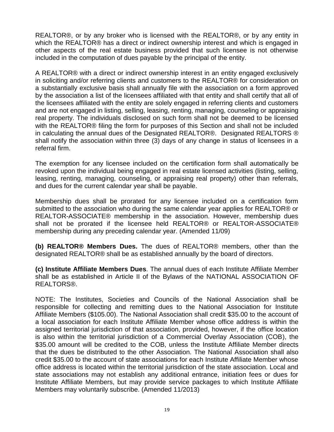REALTOR®, or by any broker who is licensed with the REALTOR®, or by any entity in which the REALTOR® has a direct or indirect ownership interest and which is engaged in other aspects of the real estate business provided that such licensee is not otherwise included in the computation of dues payable by the principal of the entity.

A REALTOR® with a direct or indirect ownership interest in an entity engaged exclusively in soliciting and/or referring clients and customers to the REALTOR® for consideration on a substantially exclusive basis shall annually file with the association on a form approved by the association a list of the licensees affiliated with that entity and shall certify that all of the licensees affiliated with the entity are solely engaged in referring clients and customers and are not engaged in listing, selling, leasing, renting, managing, counseling or appraising real property. The individuals disclosed on such form shall not be deemed to be licensed with the REALTOR® filing the form for purposes of this Section and shall not be included in calculating the annual dues of the Designated REALTOR®. Designated REALTORS ® shall notify the association within three (3) days of any change in status of licensees in a referral firm.

The exemption for any licensee included on the certification form shall automatically be revoked upon the individual being engaged in real estate licensed activities (listing, selling, leasing, renting, managing, counseling, or appraising real property) other than referrals, and dues for the current calendar year shall be payable.

Membership dues shall be prorated for any licensee included on a certification form submitted to the association who during the same calendar year applies for REALTOR® or REALTOR-ASSOCIATE® membership in the association. However, membership dues shall not be prorated if the licensee held REALTOR® or REALTOR-ASSOCIATE® membership during any preceding calendar year. (Amended 11/09)

**(b) REALTOR® Members Dues.** The dues of REALTOR® members, other than the designated REALTOR® shall be as established annually by the board of directors.

**(c) Institute Affiliate Members Dues**. The annual dues of each Institute Affiliate Member shall be as established in Article II of the Bylaws of the NATIONAL ASSOCIATION OF REALTORS®.

NOTE: The Institutes, Societies and Councils of the National Association shall be responsible for collecting and remitting dues to the National Association for Institute Affiliate Members (\$105.00). The National Association shall credit \$35.00 to the account of a local association for each Institute Affiliate Member whose office address is within the assigned territorial jurisdiction of that association, provided, however, if the office location is also within the territorial jurisdiction of a Commercial Overlay Association (COB), the \$35.00 amount will be credited to the COB, unless the Institute Affiliate Member directs that the dues be distributed to the other Association. The National Association shall also credit \$35.00 to the account of state associations for each Institute Affiliate Member whose office address is located within the territorial jurisdiction of the state association. Local and state associations may not establish any additional entrance, initiation fees or dues for Institute Affiliate Members, but may provide service packages to which Institute Affiliate Members may voluntarily subscribe. (Amended 11/2013)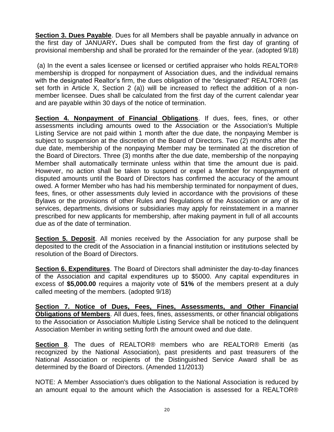**Section 3. Dues Payable**. Dues for all Members shall be payable annually in advance on the first day of JANUARY**.** Dues shall be computed from the first day of granting of provisional membership and shall be prorated for the remainder of the year. (adopted 9/18)

(a) In the event a sales licensee or licensed or certified appraiser who holds REALTOR® membership is dropped for nonpayment of Association dues, and the individual remains with the designated Realtor's firm, the dues obligation of the "designated" REALTOR® (as set forth in Article X, Section 2 (a)) will be increased to reflect the addition of a nonmember licensee. Dues shall be calculated from the first day of the current calendar year and are payable within 30 days of the notice of termination.

**Section 4. Nonpayment of Financial Obligations**. If dues, fees, fines, or other assessments including amounts owed to the Association or the Association's Multiple Listing Service are not paid within 1 month after the due date, the nonpaying Member is subject to suspension at the discretion of the Board of Directors. Two (2) months after the due date, membership of the nonpaying Member may be terminated at the discretion of the Board of Directors. Three (3) months after the due date, membership of the nonpaying Member shall automatically terminate unless within that time the amount due is paid. However, no action shall be taken to suspend or expel a Member for nonpayment of disputed amounts until the Board of Directors has confirmed the accuracy of the amount owed. A former Member who has had his membership terminated for nonpayment of dues, fees, fines, or other assessments duly levied in accordance with the provisions of these Bylaws or the provisions of other Rules and Regulations of the Association or any of its services, departments, divisions or subsidiaries may apply for reinstatement in a manner prescribed for new applicants for membership, after making payment in full of all accounts due as of the date of termination.

**Section 5. Deposit**. All monies received by the Association for any purpose shall be deposited to the credit of the Association in a financial institution or institutions selected by resolution of the Board of Directors.

**Section 6. Expenditures**. The Board of Directors shall administer the day-to-day finances of the Association and capital expenditures up to \$5000. Any capital expenditures in excess of **\$5,000.00** requires a majority vote of **51%** of the members present at a duly called meeting of the members. (adopted 9/18)

**Section 7. Notice of Dues, Fees, Fines, Assessments, and Other Financial Obligations of Members**. All dues, fees, fines, assessments, or other financial obligations to the Association or Association Multiple Listing Service shall be noticed to the delinquent Association Member in writing setting forth the amount owed and due date.

**Section 8**. The dues of REALTOR® members who are REALTOR® Emeriti (as recognized by the National Association), past presidents and past treasurers of the National Association or recipients of the Distinguished Service Award shall be as determined by the Board of Directors. (Amended 11/2013)

NOTE: A Member Association's dues obligation to the National Association is reduced by an amount equal to the amount which the Association is assessed for a REALTOR®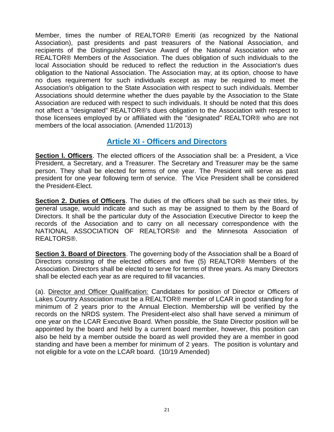Member, times the number of REALTOR® Emeriti (as recognized by the National Association), past presidents and past treasurers of the National Association, and recipients of the Distinguished Service Award of the National Association who are REALTOR® Members of the Association. The dues obligation of such individuals to the local Association should be reduced to reflect the reduction in the Association's dues obligation to the National Association. The Association may, at its option, choose to have no dues requirement for such individuals except as may be required to meet the Association's obligation to the State Association with respect to such individuals. Member Associations should determine whether the dues payable by the Association to the State Association are reduced with respect to such individuals. It should be noted that this does not affect a "designated" REALTOR®'s dues obligation to the Association with respect to those licensees employed by or affiliated with the "designated" REALTOR® who are not members of the local association. (Amended 11/2013)

## **Article XI - Officers and Directors**

**Section l. Officers**. The elected officers of the Association shall be: a President, a Vice President, a Secretary, and a Treasurer. The Secretary and Treasurer may be the same person. They shall be elected for terms of one year. The President will serve as past president for one year following term of service. The Vice President shall be considered the President-Elect.

**Section 2. Duties of Officers**. The duties of the officers shall be such as their titles, by general usage, would indicate and such as may be assigned to them by the Board of Directors. It shall be the particular duty of the Association Executive Director to keep the records of the Association and to carry on all necessary correspondence with the NATIONAL ASSOCIATION OF REALTORS® and the Minnesota Association of REALTORS®.

**Section 3. Board of Directors**. The governing body of the Association shall be a Board of Directors consisting of the elected officers and five (5) REALTOR® Members of the Association. Directors shall be elected to serve for terms of three years. As many Directors shall be elected each year as are required to fill vacancies.

(a). Director and Officer Qualification: Candidates for position of Director or Officers of Lakes Country Association must be a REALTOR® member of LCAR in good standing for a minimum of 2 years prior to the Annual Election. Membership will be verified by the records on the NRDS system. The President-elect also shall have served a minimum of one year on the LCAR Executive Board. When possible, the State Director position will be appointed by the board and held by a current board member, however, this position can also be held by a member outside the board as well provided they are a member in good standing and have been a member for minimum of 2 years. The position is voluntary and not eligible for a vote on the LCAR board. (10/19 Amended)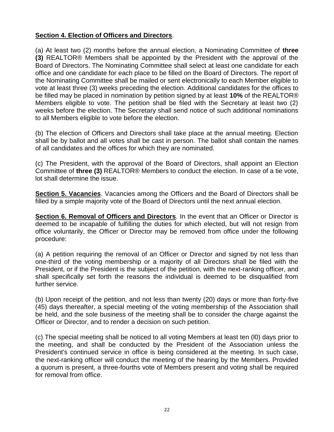#### **Section 4. Election of Officers and Directors**.

(a) At least two (2) months before the annual election, a Nominating Committee of **three (3)** REALTOR® Members shall be appointed by the President with the approval of the Board of Directors. The Nominating Committee shall select at least one candidate for each office and one candidate for each place to be filled on the Board of Directors. The report of the Nominating Committee shall be mailed or sent electronically to each Member eligible to vote at least three (3) weeks preceding the election. Additional candidates for the offices to be filled may be placed in nomination by petition signed by at least **10%** of the REALTOR® Members eligible to vote. The petition shall be filed with the Secretary at least two (2) weeks before the election. The Secretary shall send notice of such additional nominations to all Members eligible to vote before the election.

(b) The election of Officers and Directors shall take place at the annual meeting. Election shall be by ballot and all votes shall be cast in person. The ballot shall contain the names of all candidates and the offices for which they are nominated.

(c) The President, with the approval of the Board of Directors, shall appoint an Election Committee of **three (3)** REALTOR® Members to conduct the election. In case of a tie vote, lot shall determine the issue.

**Section 5. Vacancies**. Vacancies among the Officers and the Board of Directors shall be filled by a simple majority vote of the Board of Directors until the next annual election.

**Section 6. Removal of Officers and Directors**. In the event that an Officer or Director is deemed to be incapable of fulfilling the duties for which elected, but will not resign from office voluntarily, the Officer or Director may be removed from office under the following procedure:

(a) A petition requiring the removal of an Officer or Director and signed by not less than one-third of the voting membership or a majority of all Directors shall be filed with the President, or if the President is the subject of the petition, with the next-ranking officer, and shall specifically set forth the reasons the individual is deemed to be disqualified from further service.

(b) Upon receipt of the petition, and not less than twenty (20) days or more than forty-five (45) days thereafter, a special meeting of the voting membership of the Association shall be held, and the sole business of the meeting shall be to consider the charge against the Officer or Director, and to render a decision on such petition.

(c) The special meeting shall be noticed to all voting Members at least ten (l0) days prior to the meeting, and shall be conducted by the President of the Association unless the President's continued service in office is being considered at the meeting. In such case, the next-ranking officer will conduct the meeting of the hearing by the Members. Provided a quorum is present, a three-fourths vote of Members present and voting shall be required for removal from office.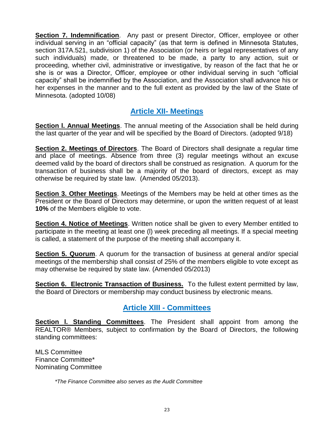**Section 7. Indemnification**. Any past or present Director, Officer, employee or other individual serving in an "official capacity" (as that term is defined in Minnesota Statutes, section 317A.521, subdivision 1) of the Association (or heirs or legal representatives of any such individuals) made, or threatened to be made, a party to any action, suit or proceeding, whether civil, administrative or investigative, by reason of the fact that he or she is or was a Director, Officer, employee or other individual serving in such "official capacity" shall be indemnified by the Association, and the Association shall advance his or her expenses in the manner and to the full extent as provided by the law of the State of Minnesota. (adopted 10/08)

## **Article XII- Meetings**

**Section I. Annual Meetings**. The annual meeting of the Association shall be held during the last quarter of the year and will be specified by the Board of Directors. (adopted 9/18)

**Section 2. Meetings of Directors**. The Board of Directors shall designate a regular time and place of meetings. Absence from three (3) regular meetings without an excuse deemed valid by the board of directors shall be construed as resignation. A quorum for the transaction of business shall be a majority of the board of directors, except as may otherwise be required by state law. (Amended 05/2013).

**Section 3. Other Meetings**. Meetings of the Members may be held at other times as the President or the Board of Directors may determine, or upon the written request of at least **10%** of the Members eligible to vote.

**Section 4. Notice of Meetings**. Written notice shall be given to every Member entitled to participate in the meeting at least one (l) week preceding all meetings. If a special meeting is called, a statement of the purpose of the meeting shall accompany it.

**Section 5. Quorum**. A quorum for the transaction of business at general and/or special meetings of the membership shall consist of 25% of the members eligible to vote except as may otherwise be required by state law. (Amended 05/2013)

**Section 6. Electronic Transaction of Business.** To the fullest extent permitted by law, the Board of Directors or membership may conduct business by electronic means.

## **Article XIII - Committees**

**Section I. Standing Committees**. The President shall appoint from among the REALTOR® Members, subject to confirmation by the Board of Directors, the following standing committees:

MLS Committee Finance Committee\* Nominating Committee

*\*The Finance Committee also serves as the Audit Committee*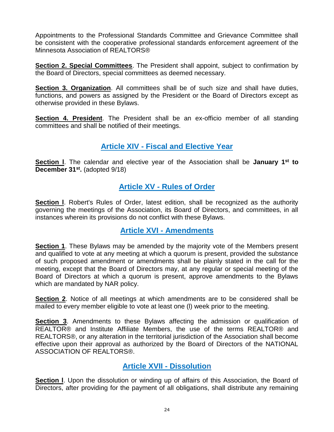Appointments to the Professional Standards Committee and Grievance Committee shall be consistent with the cooperative professional standards enforcement agreement of the Minnesota Association of REALTORS®

**Section 2. Special Committees**. The President shall appoint, subject to confirmation by the Board of Directors, special committees as deemed necessary.

**Section 3. Organization**. All committees shall be of such size and shall have duties, functions, and powers as assigned by the President or the Board of Directors except as otherwise provided in these Bylaws.

**Section 4. President**. The President shall be an ex-officio member of all standing committees and shall be notified of their meetings.

## **Article XIV - Fiscal and Elective Year**

**Section l**. The calendar and elective year of the Association shall be **January 1st to December 31st .** (adopted 9/18)

## **Article XV - Rules of Order**

**Section I.** Robert's Rules of Order, latest edition, shall be recognized as the authority governing the meetings of the Association, its Board of Directors, and committees, in all instances wherein its provisions do not conflict with these Bylaws.

## **Article XVI - Amendments**

**Section 1**. These Bylaws may be amended by the majority vote of the Members present and qualified to vote at any meeting at which a quorum is present, provided the substance of such proposed amendment or amendments shall be plainly stated in the call for the meeting, except that the Board of Directors may, at any regular or special meeting of the Board of Directors at which a quorum is present, approve amendments to the Bylaws which are mandated by NAR policy.

**Section 2**. Notice of all meetings at which amendments are to be considered shall be mailed to every member eligible to vote at least one (l) week prior to the meeting.

**Section 3**. Amendments to these Bylaws affecting the admission or qualification of REALTOR® and Institute Affiliate Members, the use of the terms REALTOR® and REALTORS®, or any alteration in the territorial jurisdiction of the Association shall become effective upon their approval as authorized by the Board of Directors of the NATIONAL ASSOCIATION OF REALTORS®.

## **Article XVII - Dissolution**

**Section I.** Upon the dissolution or winding up of affairs of this Association, the Board of Directors, after providing for the payment of all obligations, shall distribute any remaining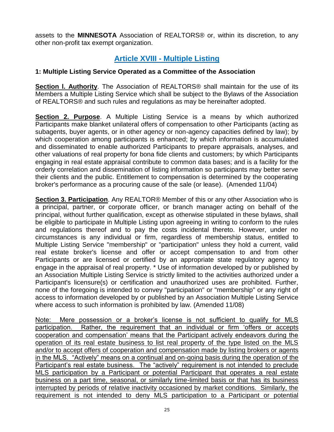assets to the **MINNESOTA** Association of REALTORS® or, within its discretion, to any other non-profit tax exempt organization.

## **Article XVIII - Multiple Listing**

#### **1: Multiple Listing Service Operated as a Committee of the Association**

**Section l. Authority**. The Association of REALTORS® shall maintain for the use of its Members a Multiple Listing Service which shall be subject to the Bylaws of the Association of REALTORS® and such rules and regulations as may be hereinafter adopted.

**Section 2. Purpose**. A Multiple Listing Service is a means by which authorized Participants make blanket unilateral offers of compensation to other Participants (acting as subagents, buyer agents, or in other agency or non-agency capacities defined by law); by which cooperation among participants is enhanced; by which information is accumulated and disseminated to enable authorized Participants to prepare appraisals, analyses, and other valuations of real property for bona fide clients and customers; by which Participants engaging in real estate appraisal contribute to common data bases; and is a facility for the orderly correlation and dissemination of listing information so participants may better serve their clients and the public. Entitlement to compensation is determined by the cooperating broker's performance as a procuring cause of the sale (or lease). (Amended 11/04)

**Section 3. Participation**. Any REALTOR® Member of this or any other Association who is a principal, partner, or corporate officer, or branch manager acting on behalf of the principal, without further qualification, except as otherwise stipulated in these bylaws, shall be eligible to participate in Multiple Listing upon agreeing in writing to conform to the rules and regulations thereof and to pay the costs incidental thereto. However, under no circumstances is any individual or firm, regardless of membership status, entitled to Multiple Listing Service "membership" or "participation" unless they hold a current, valid real estate broker's license and offer or accept compensation to and from other Participants or are licensed or certified by an appropriate state regulatory agency to engage in the appraisal of real property. \* Use of information developed by or published by an Association Multiple Listing Service is strictly limited to the activities authorized under a Participant's licensure(s) or certification and unauthorized uses are prohibited. Further, none of the foregoing is intended to convey "participation" or "membership" or any right of access to information developed by or published by an Association Multiple Listing Service where access to such information is prohibited by law. (Amended 11/08)

Note: Mere possession or a broker's license is not sufficient to qualify for MLS participation. Rather, the requirement that an individual or firm 'offers or accepts cooperation and compensation' means that the Participant actively endeavors during the operation of its real estate business to list real property of the type listed on the MLS and/or to accept offers of cooperation and compensation made by listing brokers or agents in the MLS. "Actively" means on a continual and on-going basis during the operation of the Participant's real estate business. The "actively" requirement is not intended to preclude MLS participation by a Participant or potential Participant that operates a real estate business on a part time, seasonal, or similarly time-limited basis or that has its business interrupted by periods of relative inactivity occasioned by market conditions. Similarly, the requirement is not intended to deny MLS participation to a Participant or potential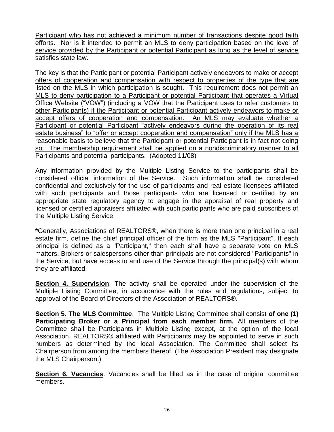Participant who has not achieved a minimum number of transactions despite good faith efforts. Nor is it intended to permit an MLS to deny participation based on the level of service provided by the Participant or potential Participant as long as the level of service satisfies state law.

The key is that the Participant or potential Participant actively endeavors to make or accept offers of cooperation and compensation with respect to properties of the type that are listed on the MLS in which participation is sought. This requirement does not permit an MLS to deny participation to a Participant or potential Participant that operates a Virtual Office Website ("VOW") (including a VOW that the Participant uses to refer customers to other Participants) if the Participant or potential Participant actively endeavors to make or accept offers of cooperation and compensation. An MLS may evaluate whether a Participant or potential Participant "actively endeavors during the operation of its real estate business" to "offer or accept cooperation and compensation" only if the MLS has a reasonable basis to believe that the Participant or potential Participant is in fact not doing so. The membership requirement shall be applied on a nondiscriminatory manner to all Participants and potential participants. (Adopted 11/08)

Any information provided by the Multiple Listing Service to the participants shall be considered official information of the Service. Such information shall be considered confidential and exclusively for the use of participants and real estate licensees affiliated with such participants and those participants who are licensed or certified by an appropriate state regulatory agency to engage in the appraisal of real property and licensed or certified appraisers affiliated with such participants who are paid subscribers of the Multiple Listing Service.

**\***Generally, Associations of REALTORS®, when there is more than one principal in a real estate firm, define the chief principal officer of the firm as the MLS "Participant". If each principal is defined as a "Participant," then each shall have a separate vote on MLS matters. Brokers or salespersons other than principals are not considered "Participants" in the Service, but have access to and use of the Service through the principal(s) with whom they are affiliated.

**Section 4. Supervision**. The activity shall be operated under the supervision of the Multiple Listing Committee, in accordance with the rules and regulations, subject to approval of the Board of Directors of the Association of REALTORS®.

**Section 5. The MLS Committee**. The Multiple Listing Committee shall consist **of one (1) Participating Broker or a Principal from each member firm.** All members of the Committee shall be Participants in Multiple Listing except, at the option of the local Association, REALTORS® affiliated with Participants may be appointed to serve in such numbers as determined by the local Association. The Committee shall select its Chairperson from among the members thereof. (The Association President may designate the MLS Chairperson.)

**Section 6. Vacancies**. Vacancies shall be filled as in the case of original committee members.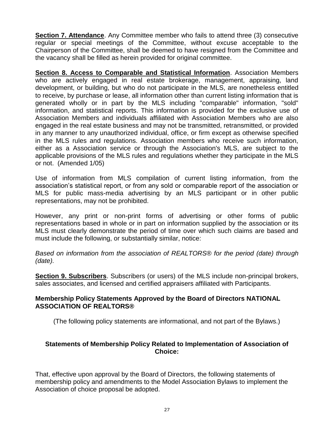**Section 7. Attendance**. Any Committee member who fails to attend three (3) consecutive regular or special meetings of the Committee, without excuse acceptable to the Chairperson of the Committee, shall be deemed to have resigned from the Committee and the vacancy shall be filled as herein provided for original committee.

**Section 8. Access to Comparable and Statistical Information**. Association Members who are actively engaged in real estate brokerage, management, appraising, land development, or building, but who do not participate in the MLS, are nonetheless entitled to receive, by purchase or lease, all information other than current listing information that is generated wholly or in part by the MLS including "comparable" information, "sold" information, and statistical reports. This information is provided for the exclusive use of Association Members and individuals affiliated with Association Members who are also engaged in the real estate business and may not be transmitted, retransmitted, or provided in any manner to any unauthorized individual, office, or firm except as otherwise specified in the MLS rules and regulations. Association members who receive such information, either as a Association service or through the Association's MLS, are subject to the applicable provisions of the MLS rules and regulations whether they participate in the MLS or not. (Amended 1/05)

Use of information from MLS compilation of current listing information, from the association's statistical report, or from any sold or comparable report of the association or MLS for public mass-media advertising by an MLS participant or in other public representations, may not be prohibited.

However, any print or non-print forms of advertising or other forms of public representations based in whole or in part on information supplied by the association or its MLS must clearly demonstrate the period of time over which such claims are based and must include the following, or substantially similar, notice:

*Based on information from the association of REALTORS® for the period (date) through (date).*

**Section 9. Subscribers**. Subscribers (or users) of the MLS include non-principal brokers, sales associates, and licensed and certified appraisers affiliated with Participants.

#### **Membership Policy Statements Approved by the Board of Directors NATIONAL ASSOCIATION OF REALTORS®**

(The following policy statements are informational, and not part of the Bylaws.)

#### **Statements of Membership Policy Related to Implementation of Association of Choice:**

That, effective upon approval by the Board of Directors, the following statements of membership policy and amendments to the Model Association Bylaws to implement the Association of choice proposal be adopted.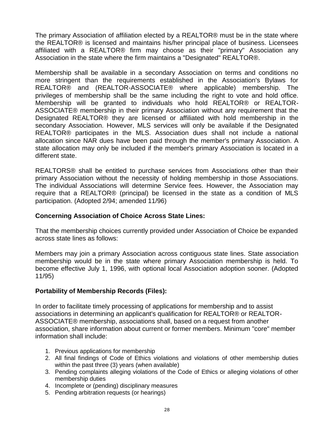The primary Association of affiliation elected by a REALTOR® must be in the state where the REALTOR® is licensed and maintains his/her principal place of business. Licensees affiliated with a REALTOR® firm may choose as their "primary" Association any Association in the state where the firm maintains a "Designated" REALTOR®.

Membership shall be available in a secondary Association on terms and conditions no more stringent than the requirements established in the Association's Bylaws for REALTOR® and (REALTOR-ASSOCIATE® where applicable) membership. The privileges of membership shall be the same including the right to vote and hold office. Membership will be granted to individuals who hold REALTOR® or REALTOR-ASSOCIATE® membership in their primary Association without any requirement that the Designated REALTOR® they are licensed or affiliated with hold membership in the secondary Association. However, MLS services will only be available if the Designated REALTOR® participates in the MLS. Association dues shall not include a national allocation since NAR dues have been paid through the member's primary Association. A state allocation may only be included if the member's primary Association is located in a different state.

REALTORS® shall be entitled to purchase services from Associations other than their primary Association without the necessity of holding membership in those Associations. The individual Associations will determine Service fees. However, the Association may require that a REALTOR® (principal) be licensed in the state as a condition of MLS participation. (Adopted 2/94; amended 11/96)

#### **Concerning Association of Choice Across State Lines:**

That the membership choices currently provided under Association of Choice be expanded across state lines as follows:

Members may join a primary Association across contiguous state lines. State association membership would be in the state where primary Association membership is held. To become effective July 1, 1996, with optional local Association adoption sooner. (Adopted 11/95)

#### **Portability of Membership Records (Files):**

In order to facilitate timely processing of applications for membership and to assist associations in determining an applicant's qualification for REALTOR® or REALTOR-ASSOCIATE® membership, associations shall, based on a request from another association, share information about current or former members. Minimum "core" member information shall include:

- 1. Previous applications for membership
- 2. All final findings of Code of Ethics violations and violations of other membership duties within the past three (3) years (when available)
- 3. Pending complaints alleging violations of the Code of Ethics or alleging violations of other membership duties
- 4. Incomplete or (pending) disciplinary measures
- 5. Pending arbitration requests (or hearings)